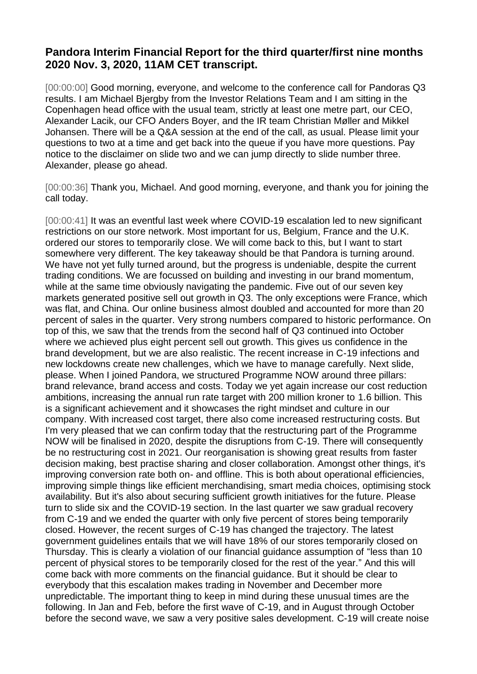## **Pandora Interim Financial Report for the third quarter/first nine months 2020 Nov. 3, 2020, 11AM CET transcript.**

[00:00:00] Good morning, everyone, and welcome to the conference call for Pandoras Q3 results. I am Michael Bjergby from the Investor Relations Team and I am sitting in the Copenhagen head office with the usual team, strictly at least one metre part, our CEO, Alexander Lacik, our CFO Anders Boyer, and the IR team Christian Møller and Mikkel Johansen. There will be a Q&A session at the end of the call, as usual. Please limit your questions to two at a time and get back into the queue if you have more questions. Pay notice to the disclaimer on slide two and we can jump directly to slide number three. Alexander, please go ahead.

[00:00:36] Thank you, Michael. And good morning, everyone, and thank you for joining the call today.

[00:00:41] It was an eventful last week where COVID-19 escalation led to new significant restrictions on our store network. Most important for us, Belgium, France and the U.K. ordered our stores to temporarily close. We will come back to this, but I want to start somewhere very different. The key takeaway should be that Pandora is turning around. We have not yet fully turned around, but the progress is undeniable, despite the current trading conditions. We are focussed on building and investing in our brand momentum, while at the same time obviously navigating the pandemic. Five out of our seven key markets generated positive sell out growth in Q3. The only exceptions were France, which was flat, and China. Our online business almost doubled and accounted for more than 20 percent of sales in the quarter. Very strong numbers compared to historic performance. On top of this, we saw that the trends from the second half of Q3 continued into October where we achieved plus eight percent sell out growth. This gives us confidence in the brand development, but we are also realistic. The recent increase in C-19 infections and new lockdowns create new challenges, which we have to manage carefully. Next slide, please. When I joined Pandora, we structured Programme NOW around three pillars: brand relevance, brand access and costs. Today we yet again increase our cost reduction ambitions, increasing the annual run rate target with 200 million kroner to 1.6 billion. This is a significant achievement and it showcases the right mindset and culture in our company. With increased cost target, there also come increased restructuring costs. But I'm very pleased that we can confirm today that the restructuring part of the Programme NOW will be finalised in 2020, despite the disruptions from C-19. There will consequently be no restructuring cost in 2021. Our reorganisation is showing great results from faster decision making, best practise sharing and closer collaboration. Amongst other things, it's improving conversion rate both on- and offline. This is both about operational efficiencies, improving simple things like efficient merchandising, smart media choices, optimising stock availability. But it's also about securing sufficient growth initiatives for the future. Please turn to slide six and the COVID-19 section. In the last quarter we saw gradual recovery from C-19 and we ended the quarter with only five percent of stores being temporarily closed. However, the recent surges of C-19 has changed the trajectory. The latest government guidelines entails that we will have 18% of our stores temporarily closed on Thursday. This is clearly a violation of our financial guidance assumption of "less than 10 percent of physical stores to be temporarily closed for the rest of the year." And this will come back with more comments on the financial guidance. But it should be clear to everybody that this escalation makes trading in November and December more unpredictable. The important thing to keep in mind during these unusual times are the following. In Jan and Feb, before the first wave of C-19, and in August through October before the second wave, we saw a very positive sales development. C-19 will create noise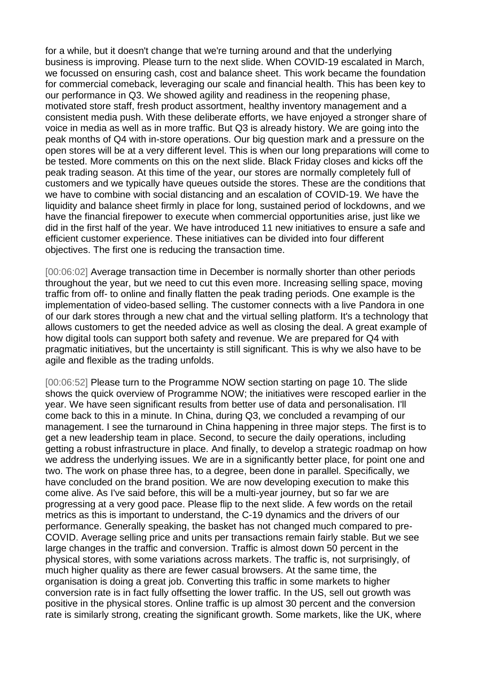for a while, but it doesn't change that we're turning around and that the underlying business is improving. Please turn to the next slide. When COVID-19 escalated in March, we focussed on ensuring cash, cost and balance sheet. This work became the foundation for commercial comeback, leveraging our scale and financial health. This has been key to our performance in Q3. We showed agility and readiness in the reopening phase, motivated store staff, fresh product assortment, healthy inventory management and a consistent media push. With these deliberate efforts, we have enjoyed a stronger share of voice in media as well as in more traffic. But Q3 is already history. We are going into the peak months of Q4 with in-store operations. Our big question mark and a pressure on the open stores will be at a very different level. This is when our long preparations will come to be tested. More comments on this on the next slide. Black Friday closes and kicks off the peak trading season. At this time of the year, our stores are normally completely full of customers and we typically have queues outside the stores. These are the conditions that we have to combine with social distancing and an escalation of COVID-19. We have the liquidity and balance sheet firmly in place for long, sustained period of lockdowns, and we have the financial firepower to execute when commercial opportunities arise, just like we did in the first half of the year. We have introduced 11 new initiatives to ensure a safe and efficient customer experience. These initiatives can be divided into four different objectives. The first one is reducing the transaction time.

[00:06:02] Average transaction time in December is normally shorter than other periods throughout the year, but we need to cut this even more. Increasing selling space, moving traffic from off- to online and finally flatten the peak trading periods. One example is the implementation of video-based selling. The customer connects with a live Pandora in one of our dark stores through a new chat and the virtual selling platform. It's a technology that allows customers to get the needed advice as well as closing the deal. A great example of how digital tools can support both safety and revenue. We are prepared for Q4 with pragmatic initiatives, but the uncertainty is still significant. This is why we also have to be agile and flexible as the trading unfolds.

[00:06:52] Please turn to the Programme NOW section starting on page 10. The slide shows the quick overview of Programme NOW; the initiatives were rescoped earlier in the year. We have seen significant results from better use of data and personalisation. I'll come back to this in a minute. In China, during Q3, we concluded a revamping of our management. I see the turnaround in China happening in three major steps. The first is to get a new leadership team in place. Second, to secure the daily operations, including getting a robust infrastructure in place. And finally, to develop a strategic roadmap on how we address the underlying issues. We are in a significantly better place, for point one and two. The work on phase three has, to a degree, been done in parallel. Specifically, we have concluded on the brand position. We are now developing execution to make this come alive. As I've said before, this will be a multi-year journey, but so far we are progressing at a very good pace. Please flip to the next slide. A few words on the retail metrics as this is important to understand, the C-19 dynamics and the drivers of our performance. Generally speaking, the basket has not changed much compared to pre-COVID. Average selling price and units per transactions remain fairly stable. But we see large changes in the traffic and conversion. Traffic is almost down 50 percent in the physical stores, with some variations across markets. The traffic is, not surprisingly, of much higher quality as there are fewer casual browsers. At the same time, the organisation is doing a great job. Converting this traffic in some markets to higher conversion rate is in fact fully offsetting the lower traffic. In the US, sell out growth was positive in the physical stores. Online traffic is up almost 30 percent and the conversion rate is similarly strong, creating the significant growth. Some markets, like the UK, where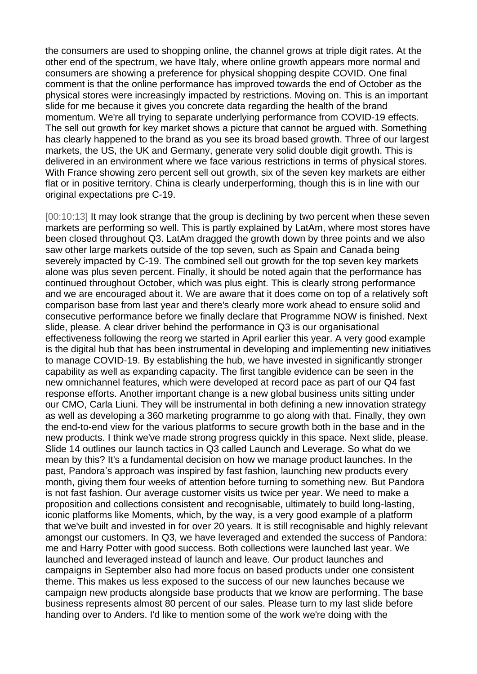the consumers are used to shopping online, the channel grows at triple digit rates. At the other end of the spectrum, we have Italy, where online growth appears more normal and consumers are showing a preference for physical shopping despite COVID. One final comment is that the online performance has improved towards the end of October as the physical stores were increasingly impacted by restrictions. Moving on. This is an important slide for me because it gives you concrete data regarding the health of the brand momentum. We're all trying to separate underlying performance from COVID-19 effects. The sell out growth for key market shows a picture that cannot be argued with. Something has clearly happened to the brand as you see its broad based growth. Three of our largest markets, the US, the UK and Germany, generate very solid double digit growth. This is delivered in an environment where we face various restrictions in terms of physical stores. With France showing zero percent sell out growth, six of the seven key markets are either flat or in positive territory. China is clearly underperforming, though this is in line with our original expectations pre C-19.

[00:10:13] It may look strange that the group is declining by two percent when these seven markets are performing so well. This is partly explained by LatAm, where most stores have been closed throughout Q3. LatAm dragged the growth down by three points and we also saw other large markets outside of the top seven, such as Spain and Canada being severely impacted by C-19. The combined sell out growth for the top seven key markets alone was plus seven percent. Finally, it should be noted again that the performance has continued throughout October, which was plus eight. This is clearly strong performance and we are encouraged about it. We are aware that it does come on top of a relatively soft comparison base from last year and there's clearly more work ahead to ensure solid and consecutive performance before we finally declare that Programme NOW is finished. Next slide, please. A clear driver behind the performance in Q3 is our organisational effectiveness following the reorg we started in April earlier this year. A very good example is the digital hub that has been instrumental in developing and implementing new initiatives to manage COVID-19. By establishing the hub, we have invested in significantly stronger capability as well as expanding capacity. The first tangible evidence can be seen in the new omnichannel features, which were developed at record pace as part of our Q4 fast response efforts. Another important change is a new global business units sitting under our CMO, Carla Liuni. They will be instrumental in both defining a new innovation strategy as well as developing a 360 marketing programme to go along with that. Finally, they own the end-to-end view for the various platforms to secure growth both in the base and in the new products. I think we've made strong progress quickly in this space. Next slide, please. Slide 14 outlines our launch tactics in Q3 called Launch and Leverage. So what do we mean by this? It's a fundamental decision on how we manage product launches. In the past, Pandora's approach was inspired by fast fashion, launching new products every month, giving them four weeks of attention before turning to something new. But Pandora is not fast fashion. Our average customer visits us twice per year. We need to make a proposition and collections consistent and recognisable, ultimately to build long-lasting, iconic platforms like Moments, which, by the way, is a very good example of a platform that we've built and invested in for over 20 years. It is still recognisable and highly relevant amongst our customers. In Q3, we have leveraged and extended the success of Pandora: me and Harry Potter with good success. Both collections were launched last year. We launched and leveraged instead of launch and leave. Our product launches and campaigns in September also had more focus on based products under one consistent theme. This makes us less exposed to the success of our new launches because we campaign new products alongside base products that we know are performing. The base business represents almost 80 percent of our sales. Please turn to my last slide before handing over to Anders. I'd like to mention some of the work we're doing with the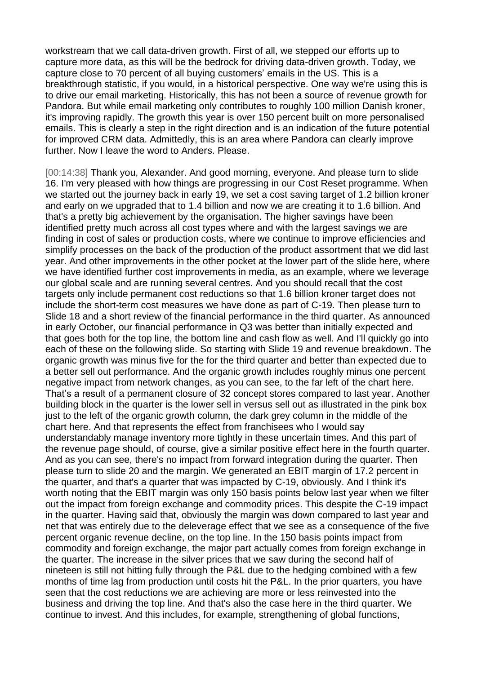workstream that we call data-driven growth. First of all, we stepped our efforts up to capture more data, as this will be the bedrock for driving data-driven growth. Today, we capture close to 70 percent of all buying customers' emails in the US. This is a breakthrough statistic, if you would, in a historical perspective. One way we're using this is to drive our email marketing. Historically, this has not been a source of revenue growth for Pandora. But while email marketing only contributes to roughly 100 million Danish kroner, it's improving rapidly. The growth this year is over 150 percent built on more personalised emails. This is clearly a step in the right direction and is an indication of the future potential for improved CRM data. Admittedly, this is an area where Pandora can clearly improve further. Now I leave the word to Anders. Please.

[00:14:38] Thank you, Alexander. And good morning, everyone. And please turn to slide 16. I'm very pleased with how things are progressing in our Cost Reset programme. When we started out the journey back in early 19, we set a cost saving target of 1.2 billion kroner and early on we upgraded that to 1.4 billion and now we are creating it to 1.6 billion. And that's a pretty big achievement by the organisation. The higher savings have been identified pretty much across all cost types where and with the largest savings we are finding in cost of sales or production costs, where we continue to improve efficiencies and simplify processes on the back of the production of the product assortment that we did last year. And other improvements in the other pocket at the lower part of the slide here, where we have identified further cost improvements in media, as an example, where we leverage our global scale and are running several centres. And you should recall that the cost targets only include permanent cost reductions so that 1.6 billion kroner target does not include the short-term cost measures we have done as part of C-19. Then please turn to Slide 18 and a short review of the financial performance in the third quarter. As announced in early October, our financial performance in Q3 was better than initially expected and that goes both for the top line, the bottom line and cash flow as well. And I'll quickly go into each of these on the following slide. So starting with Slide 19 and revenue breakdown. The organic growth was minus five for the for the third quarter and better than expected due to a better sell out performance. And the organic growth includes roughly minus one percent negative impact from network changes, as you can see, to the far left of the chart here. That's a result of a permanent closure of 32 concept stores compared to last year. Another building block in the quarter is the lower sell in versus sell out as illustrated in the pink box just to the left of the organic growth column, the dark grey column in the middle of the chart here. And that represents the effect from franchisees who I would say understandably manage inventory more tightly in these uncertain times. And this part of the revenue page should, of course, give a similar positive effect here in the fourth quarter. And as you can see, there's no impact from forward integration during the quarter. Then please turn to slide 20 and the margin. We generated an EBIT margin of 17.2 percent in the quarter, and that's a quarter that was impacted by C-19, obviously. And I think it's worth noting that the EBIT margin was only 150 basis points below last year when we filter out the impact from foreign exchange and commodity prices. This despite the C-19 impact in the quarter. Having said that, obviously the margin was down compared to last year and net that was entirely due to the deleverage effect that we see as a consequence of the five percent organic revenue decline, on the top line. In the 150 basis points impact from commodity and foreign exchange, the major part actually comes from foreign exchange in the quarter. The increase in the silver prices that we saw during the second half of nineteen is still not hitting fully through the P&L due to the hedging combined with a few months of time lag from production until costs hit the P&L. In the prior quarters, you have seen that the cost reductions we are achieving are more or less reinvested into the business and driving the top line. And that's also the case here in the third quarter. We continue to invest. And this includes, for example, strengthening of global functions,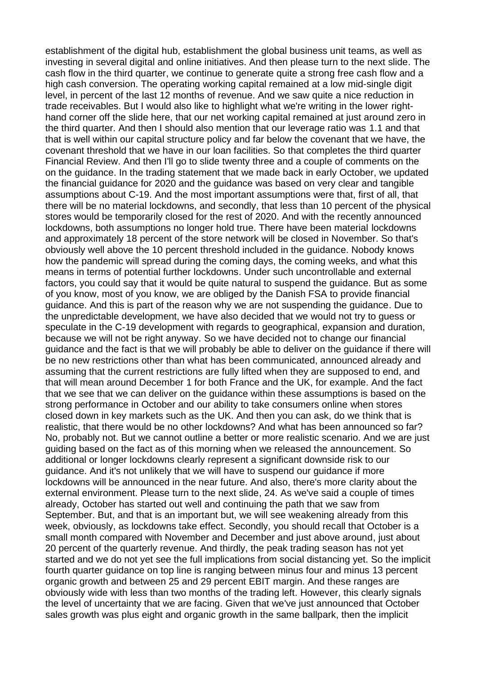establishment of the digital hub, establishment the global business unit teams, as well as investing in several digital and online initiatives. And then please turn to the next slide. The cash flow in the third quarter, we continue to generate quite a strong free cash flow and a high cash conversion. The operating working capital remained at a low mid-single digit level, in percent of the last 12 months of revenue. And we saw quite a nice reduction in trade receivables. But I would also like to highlight what we're writing in the lower righthand corner off the slide here, that our net working capital remained at just around zero in the third quarter. And then I should also mention that our leverage ratio was 1.1 and that that is well within our capital structure policy and far below the covenant that we have, the covenant threshold that we have in our loan facilities. So that completes the third quarter Financial Review. And then I'll go to slide twenty three and a couple of comments on the on the guidance. In the trading statement that we made back in early October, we updated the financial guidance for 2020 and the guidance was based on very clear and tangible assumptions about C-19. And the most important assumptions were that, first of all, that there will be no material lockdowns, and secondly, that less than 10 percent of the physical stores would be temporarily closed for the rest of 2020. And with the recently announced lockdowns, both assumptions no longer hold true. There have been material lockdowns and approximately 18 percent of the store network will be closed in November. So that's obviously well above the 10 percent threshold included in the guidance. Nobody knows how the pandemic will spread during the coming days, the coming weeks, and what this means in terms of potential further lockdowns. Under such uncontrollable and external factors, you could say that it would be quite natural to suspend the guidance. But as some of you know, most of you know, we are obliged by the Danish FSA to provide financial guidance. And this is part of the reason why we are not suspending the guidance. Due to the unpredictable development, we have also decided that we would not try to guess or speculate in the C-19 development with regards to geographical, expansion and duration, because we will not be right anyway. So we have decided not to change our financial guidance and the fact is that we will probably be able to deliver on the guidance if there will be no new restrictions other than what has been communicated, announced already and assuming that the current restrictions are fully lifted when they are supposed to end, and that will mean around December 1 for both France and the UK, for example. And the fact that we see that we can deliver on the guidance within these assumptions is based on the strong performance in October and our ability to take consumers online when stores closed down in key markets such as the UK. And then you can ask, do we think that is realistic, that there would be no other lockdowns? And what has been announced so far? No, probably not. But we cannot outline a better or more realistic scenario. And we are just guiding based on the fact as of this morning when we released the announcement. So additional or longer lockdowns clearly represent a significant downside risk to our guidance. And it's not unlikely that we will have to suspend our guidance if more lockdowns will be announced in the near future. And also, there's more clarity about the external environment. Please turn to the next slide, 24. As we've said a couple of times already, October has started out well and continuing the path that we saw from September. But, and that is an important but, we will see weakening already from this week, obviously, as lockdowns take effect. Secondly, you should recall that October is a small month compared with November and December and just above around, just about 20 percent of the quarterly revenue. And thirdly, the peak trading season has not yet started and we do not yet see the full implications from social distancing yet. So the implicit fourth quarter guidance on top line is ranging between minus four and minus 13 percent organic growth and between 25 and 29 percent EBIT margin. And these ranges are obviously wide with less than two months of the trading left. However, this clearly signals the level of uncertainty that we are facing. Given that we've just announced that October sales growth was plus eight and organic growth in the same ballpark, then the implicit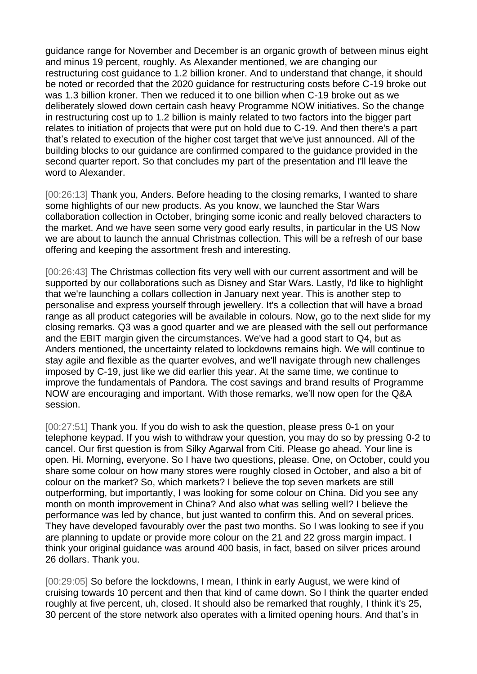guidance range for November and December is an organic growth of between minus eight and minus 19 percent, roughly. As Alexander mentioned, we are changing our restructuring cost guidance to 1.2 billion kroner. And to understand that change, it should be noted or recorded that the 2020 guidance for restructuring costs before C-19 broke out was 1.3 billion kroner. Then we reduced it to one billion when C-19 broke out as we deliberately slowed down certain cash heavy Programme NOW initiatives. So the change in restructuring cost up to 1.2 billion is mainly related to two factors into the bigger part relates to initiation of projects that were put on hold due to C-19. And then there's a part that's related to execution of the higher cost target that we've just announced. All of the building blocks to our guidance are confirmed compared to the guidance provided in the second quarter report. So that concludes my part of the presentation and I'll leave the word to Alexander.

[00:26:13] Thank you, Anders. Before heading to the closing remarks, I wanted to share some highlights of our new products. As you know, we launched the Star Wars collaboration collection in October, bringing some iconic and really beloved characters to the market. And we have seen some very good early results, in particular in the US Now we are about to launch the annual Christmas collection. This will be a refresh of our base offering and keeping the assortment fresh and interesting.

[00:26:43] The Christmas collection fits very well with our current assortment and will be supported by our collaborations such as Disney and Star Wars. Lastly, I'd like to highlight that we're launching a collars collection in January next year. This is another step to personalise and express yourself through jewellery. It's a collection that will have a broad range as all product categories will be available in colours. Now, go to the next slide for my closing remarks. Q3 was a good quarter and we are pleased with the sell out performance and the EBIT margin given the circumstances. We've had a good start to Q4, but as Anders mentioned, the uncertainty related to lockdowns remains high. We will continue to stay agile and flexible as the quarter evolves, and we'll navigate through new challenges imposed by C-19, just like we did earlier this year. At the same time, we continue to improve the fundamentals of Pandora. The cost savings and brand results of Programme NOW are encouraging and important. With those remarks, we'll now open for the Q&A session.

[00:27:51] Thank you. If you do wish to ask the question, please press 0-1 on your telephone keypad. If you wish to withdraw your question, you may do so by pressing 0-2 to cancel. Our first question is from Silky Agarwal from Citi. Please go ahead. Your line is open. Hi. Morning, everyone. So I have two questions, please. One, on October, could you share some colour on how many stores were roughly closed in October, and also a bit of colour on the market? So, which markets? I believe the top seven markets are still outperforming, but importantly, I was looking for some colour on China. Did you see any month on month improvement in China? And also what was selling well? I believe the performance was led by chance, but just wanted to confirm this. And on several prices. They have developed favourably over the past two months. So I was looking to see if you are planning to update or provide more colour on the 21 and 22 gross margin impact. I think your original guidance was around 400 basis, in fact, based on silver prices around 26 dollars. Thank you.

[00:29:05] So before the lockdowns, I mean, I think in early August, we were kind of cruising towards 10 percent and then that kind of came down. So I think the quarter ended roughly at five percent, uh, closed. It should also be remarked that roughly, I think it's 25, 30 percent of the store network also operates with a limited opening hours. And that's in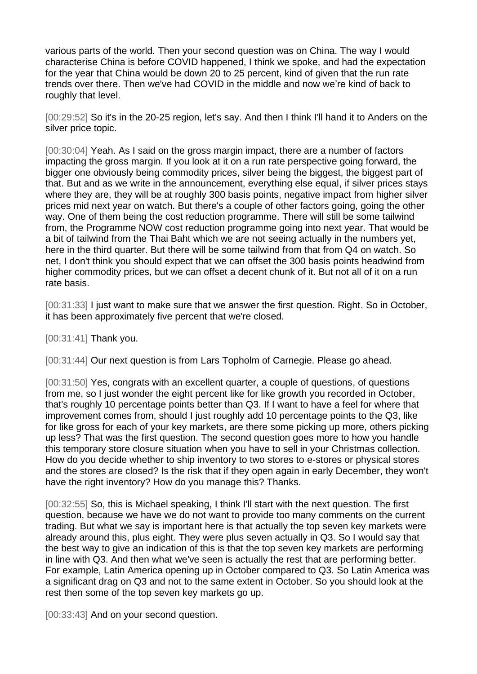various parts of the world. Then your second question was on China. The way I would characterise China is before COVID happened, I think we spoke, and had the expectation for the year that China would be down 20 to 25 percent, kind of given that the run rate trends over there. Then we've had COVID in the middle and now we're kind of back to roughly that level.

[00:29:52] So it's in the 20-25 region, let's say. And then I think I'll hand it to Anders on the silver price topic.

[00:30:04] Yeah. As I said on the gross margin impact, there are a number of factors impacting the gross margin. If you look at it on a run rate perspective going forward, the bigger one obviously being commodity prices, silver being the biggest, the biggest part of that. But and as we write in the announcement, everything else equal, if silver prices stays where they are, they will be at roughly 300 basis points, negative impact from higher silver prices mid next year on watch. But there's a couple of other factors going, going the other way. One of them being the cost reduction programme. There will still be some tailwind from, the Programme NOW cost reduction programme going into next year. That would be a bit of tailwind from the Thai Baht which we are not seeing actually in the numbers yet, here in the third quarter. But there will be some tailwind from that from Q4 on watch. So net, I don't think you should expect that we can offset the 300 basis points headwind from higher commodity prices, but we can offset a decent chunk of it. But not all of it on a run rate basis.

[00:31:33] I just want to make sure that we answer the first question. Right. So in October, it has been approximately five percent that we're closed.

[00:31:41] Thank you.

[00:31:44] Our next question is from Lars Topholm of Carnegie. Please go ahead.

[00:31:50] Yes, congrats with an excellent quarter, a couple of questions, of questions from me, so I just wonder the eight percent like for like growth you recorded in October, that's roughly 10 percentage points better than Q3. If I want to have a feel for where that improvement comes from, should I just roughly add 10 percentage points to the Q3, like for like gross for each of your key markets, are there some picking up more, others picking up less? That was the first question. The second question goes more to how you handle this temporary store closure situation when you have to sell in your Christmas collection. How do you decide whether to ship inventory to two stores to e-stores or physical stores and the stores are closed? Is the risk that if they open again in early December, they won't have the right inventory? How do you manage this? Thanks.

[00:32:55] So, this is Michael speaking, I think I'll start with the next question. The first question, because we have we do not want to provide too many comments on the current trading. But what we say is important here is that actually the top seven key markets were already around this, plus eight. They were plus seven actually in Q3. So I would say that the best way to give an indication of this is that the top seven key markets are performing in line with Q3. And then what we've seen is actually the rest that are performing better. For example, Latin America opening up in October compared to Q3. So Latin America was a significant drag on Q3 and not to the same extent in October. So you should look at the rest then some of the top seven key markets go up.

[00:33:43] And on your second question.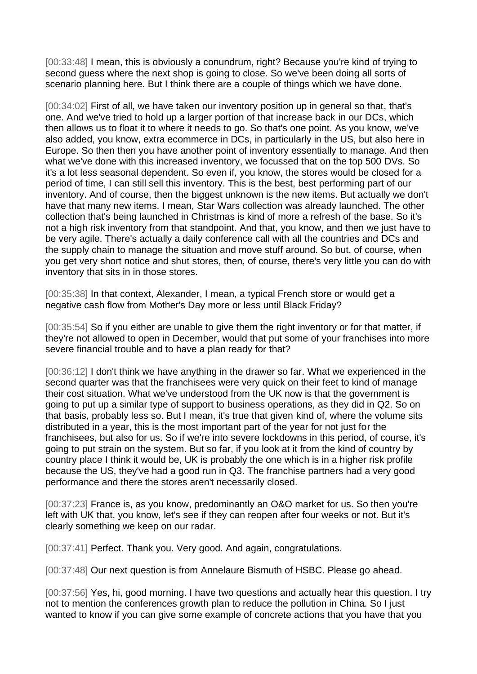[00:33:48] I mean, this is obviously a conundrum, right? Because you're kind of trying to second guess where the next shop is going to close. So we've been doing all sorts of scenario planning here. But I think there are a couple of things which we have done.

[00:34:02] First of all, we have taken our inventory position up in general so that, that's one. And we've tried to hold up a larger portion of that increase back in our DCs, which then allows us to float it to where it needs to go. So that's one point. As you know, we've also added, you know, extra ecommerce in DCs, in particularly in the US, but also here in Europe. So then then you have another point of inventory essentially to manage. And then what we've done with this increased inventory, we focussed that on the top 500 DVs. So it's a lot less seasonal dependent. So even if, you know, the stores would be closed for a period of time, I can still sell this inventory. This is the best, best performing part of our inventory. And of course, then the biggest unknown is the new items. But actually we don't have that many new items. I mean, Star Wars collection was already launched. The other collection that's being launched in Christmas is kind of more a refresh of the base. So it's not a high risk inventory from that standpoint. And that, you know, and then we just have to be very agile. There's actually a daily conference call with all the countries and DCs and the supply chain to manage the situation and move stuff around. So but, of course, when you get very short notice and shut stores, then, of course, there's very little you can do with inventory that sits in in those stores.

[00:35:38] In that context, Alexander, I mean, a typical French store or would get a negative cash flow from Mother's Day more or less until Black Friday?

[00:35:54] So if you either are unable to give them the right inventory or for that matter, if they're not allowed to open in December, would that put some of your franchises into more severe financial trouble and to have a plan ready for that?

[00:36:12] I don't think we have anything in the drawer so far. What we experienced in the second quarter was that the franchisees were very quick on their feet to kind of manage their cost situation. What we've understood from the UK now is that the government is going to put up a similar type of support to business operations, as they did in Q2. So on that basis, probably less so. But I mean, it's true that given kind of, where the volume sits distributed in a year, this is the most important part of the year for not just for the franchisees, but also for us. So if we're into severe lockdowns in this period, of course, it's going to put strain on the system. But so far, if you look at it from the kind of country by country place I think it would be, UK is probably the one which is in a higher risk profile because the US, they've had a good run in Q3. The franchise partners had a very good performance and there the stores aren't necessarily closed.

[00:37:23] France is, as you know, predominantly an O&O market for us. So then you're left with UK that, you know, let's see if they can reopen after four weeks or not. But it's clearly something we keep on our radar.

[00:37:41] Perfect. Thank you. Very good. And again, congratulations.

[00:37:48] Our next question is from Annelaure Bismuth of HSBC. Please go ahead.

[00:37:56] Yes, hi, good morning. I have two questions and actually hear this question. I try not to mention the conferences growth plan to reduce the pollution in China. So I just wanted to know if you can give some example of concrete actions that you have that you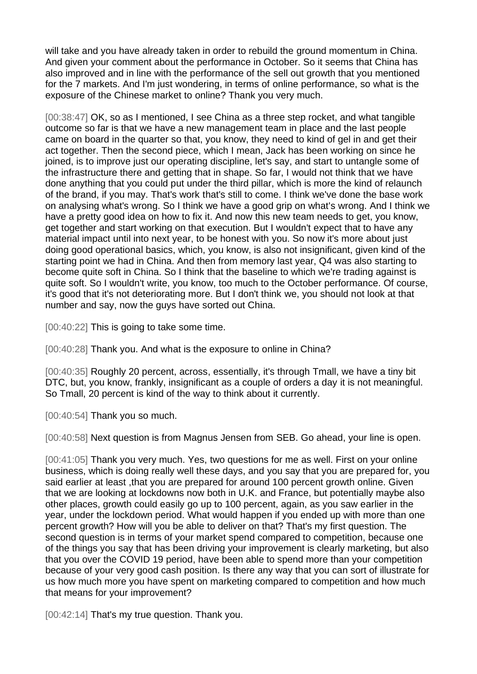will take and you have already taken in order to rebuild the ground momentum in China. And given your comment about the performance in October. So it seems that China has also improved and in line with the performance of the sell out growth that you mentioned for the 7 markets. And I'm just wondering, in terms of online performance, so what is the exposure of the Chinese market to online? Thank you very much.

[00:38:47] OK, so as I mentioned, I see China as a three step rocket, and what tangible outcome so far is that we have a new management team in place and the last people came on board in the quarter so that, you know, they need to kind of gel in and get their act together. Then the second piece, which I mean, Jack has been working on since he joined, is to improve just our operating discipline, let's say, and start to untangle some of the infrastructure there and getting that in shape. So far, I would not think that we have done anything that you could put under the third pillar, which is more the kind of relaunch of the brand, if you may. That's work that's still to come. I think we've done the base work on analysing what's wrong. So I think we have a good grip on what's wrong. And I think we have a pretty good idea on how to fix it. And now this new team needs to get, you know, get together and start working on that execution. But I wouldn't expect that to have any material impact until into next year, to be honest with you. So now it's more about just doing good operational basics, which, you know, is also not insignificant, given kind of the starting point we had in China. And then from memory last year, Q4 was also starting to become quite soft in China. So I think that the baseline to which we're trading against is quite soft. So I wouldn't write, you know, too much to the October performance. Of course, it's good that it's not deteriorating more. But I don't think we, you should not look at that number and say, now the guys have sorted out China.

[00:40:22] This is going to take some time.

[00:40:28] Thank you. And what is the exposure to online in China?

[00:40:35] Roughly 20 percent, across, essentially, it's through Tmall, we have a tiny bit DTC, but, you know, frankly, insignificant as a couple of orders a day it is not meaningful. So Tmall, 20 percent is kind of the way to think about it currently.

[00:40:54] Thank you so much.

[00:40:58] Next question is from Magnus Jensen from SEB. Go ahead, your line is open.

[00:41:05] Thank you very much. Yes, two questions for me as well. First on your online business, which is doing really well these days, and you say that you are prepared for, you said earlier at least, that you are prepared for around 100 percent growth online. Given that we are looking at lockdowns now both in U.K. and France, but potentially maybe also other places, growth could easily go up to 100 percent, again, as you saw earlier in the year, under the lockdown period. What would happen if you ended up with more than one percent growth? How will you be able to deliver on that? That's my first question. The second question is in terms of your market spend compared to competition, because one of the things you say that has been driving your improvement is clearly marketing, but also that you over the COVID 19 period, have been able to spend more than your competition because of your very good cash position. Is there any way that you can sort of illustrate for us how much more you have spent on marketing compared to competition and how much that means for your improvement?

[00:42:14] That's my true question. Thank you.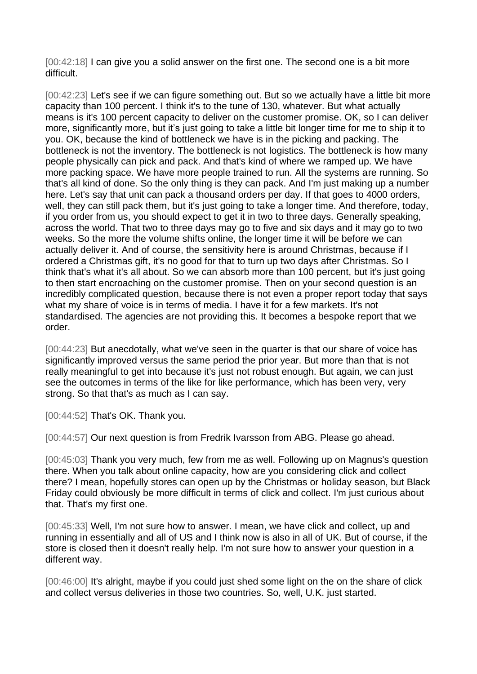[00:42:18] I can give you a solid answer on the first one. The second one is a bit more difficult.

[00:42:23] Let's see if we can figure something out. But so we actually have a little bit more capacity than 100 percent. I think it's to the tune of 130, whatever. But what actually means is it's 100 percent capacity to deliver on the customer promise. OK, so I can deliver more, significantly more, but it's just going to take a little bit longer time for me to ship it to you. OK, because the kind of bottleneck we have is in the picking and packing. The bottleneck is not the inventory. The bottleneck is not logistics. The bottleneck is how many people physically can pick and pack. And that's kind of where we ramped up. We have more packing space. We have more people trained to run. All the systems are running. So that's all kind of done. So the only thing is they can pack. And I'm just making up a number here. Let's say that unit can pack a thousand orders per day. If that goes to 4000 orders, well, they can still pack them, but it's just going to take a longer time. And therefore, today, if you order from us, you should expect to get it in two to three days. Generally speaking, across the world. That two to three days may go to five and six days and it may go to two weeks. So the more the volume shifts online, the longer time it will be before we can actually deliver it. And of course, the sensitivity here is around Christmas, because if I ordered a Christmas gift, it's no good for that to turn up two days after Christmas. So I think that's what it's all about. So we can absorb more than 100 percent, but it's just going to then start encroaching on the customer promise. Then on your second question is an incredibly complicated question, because there is not even a proper report today that says what my share of voice is in terms of media. I have it for a few markets. It's not standardised. The agencies are not providing this. It becomes a bespoke report that we order.

[00:44:23] But anecdotally, what we've seen in the quarter is that our share of voice has significantly improved versus the same period the prior year. But more than that is not really meaningful to get into because it's just not robust enough. But again, we can just see the outcomes in terms of the like for like performance, which has been very, very strong. So that that's as much as I can say.

[00:44:52] That's OK. Thank you.

[00:44:57] Our next question is from Fredrik Ivarsson from ABG. Please go ahead.

[00:45:03] Thank you very much, few from me as well. Following up on Magnus's question there. When you talk about online capacity, how are you considering click and collect there? I mean, hopefully stores can open up by the Christmas or holiday season, but Black Friday could obviously be more difficult in terms of click and collect. I'm just curious about that. That's my first one.

[00:45:33] Well, I'm not sure how to answer. I mean, we have click and collect, up and running in essentially and all of US and I think now is also in all of UK. But of course, if the store is closed then it doesn't really help. I'm not sure how to answer your question in a different way.

[00:46:00] It's alright, maybe if you could just shed some light on the on the share of click and collect versus deliveries in those two countries. So, well, U.K. just started.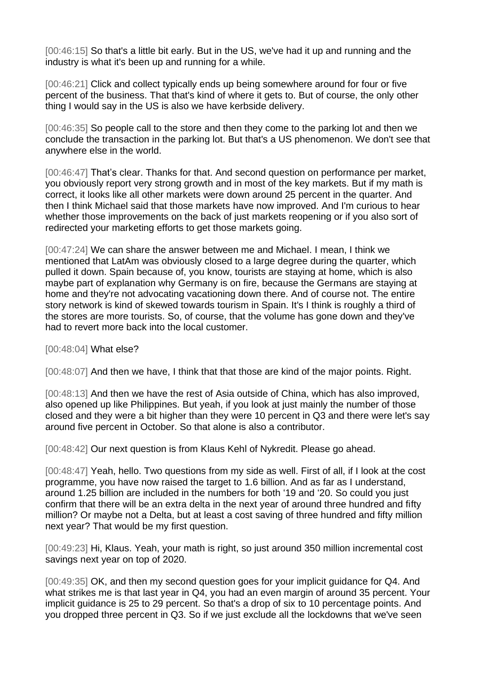[00:46:15] So that's a little bit early. But in the US, we've had it up and running and the industry is what it's been up and running for a while.

[00:46:21] Click and collect typically ends up being somewhere around for four or five percent of the business. That that's kind of where it gets to. But of course, the only other thing I would say in the US is also we have kerbside delivery.

[00:46:35] So people call to the store and then they come to the parking lot and then we conclude the transaction in the parking lot. But that's a US phenomenon. We don't see that anywhere else in the world.

[00:46:47] That's clear. Thanks for that. And second question on performance per market, you obviously report very strong growth and in most of the key markets. But if my math is correct, it looks like all other markets were down around 25 percent in the quarter. And then I think Michael said that those markets have now improved. And I'm curious to hear whether those improvements on the back of just markets reopening or if you also sort of redirected your marketing efforts to get those markets going.

[00:47:24] We can share the answer between me and Michael. I mean, I think we mentioned that LatAm was obviously closed to a large degree during the quarter, which pulled it down. Spain because of, you know, tourists are staying at home, which is also maybe part of explanation why Germany is on fire, because the Germans are staying at home and they're not advocating vacationing down there. And of course not. The entire story network is kind of skewed towards tourism in Spain. It's I think is roughly a third of the stores are more tourists. So, of course, that the volume has gone down and they've had to revert more back into the local customer.

[00:48:04] What else?

[00:48:07] And then we have, I think that that those are kind of the major points. Right.

[00:48:13] And then we have the rest of Asia outside of China, which has also improved, also opened up like Philippines. But yeah, if you look at just mainly the number of those closed and they were a bit higher than they were 10 percent in Q3 and there were let's say around five percent in October. So that alone is also a contributor.

[00:48:42] Our next question is from Klaus Kehl of Nykredit. Please go ahead.

[00:48:47] Yeah, hello. Two questions from my side as well. First of all, if I look at the cost programme, you have now raised the target to 1.6 billion. And as far as I understand, around 1.25 billion are included in the numbers for both '19 and '20. So could you just confirm that there will be an extra delta in the next year of around three hundred and fifty million? Or maybe not a Delta, but at least a cost saving of three hundred and fifty million next year? That would be my first question.

[00:49:23] Hi, Klaus. Yeah, your math is right, so just around 350 million incremental cost savings next year on top of 2020.

[00:49:35] OK, and then my second question goes for your implicit guidance for Q4. And what strikes me is that last year in Q4, you had an even margin of around 35 percent. Your implicit guidance is 25 to 29 percent. So that's a drop of six to 10 percentage points. And you dropped three percent in Q3. So if we just exclude all the lockdowns that we've seen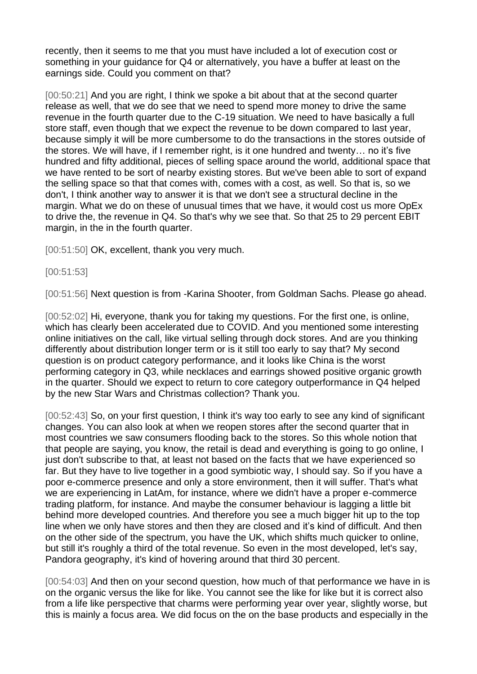recently, then it seems to me that you must have included a lot of execution cost or something in your guidance for Q4 or alternatively, you have a buffer at least on the earnings side. Could you comment on that?

[00:50:21] And you are right, I think we spoke a bit about that at the second quarter release as well, that we do see that we need to spend more money to drive the same revenue in the fourth quarter due to the C-19 situation. We need to have basically a full store staff, even though that we expect the revenue to be down compared to last year, because simply it will be more cumbersome to do the transactions in the stores outside of the stores. We will have, if I remember right, is it one hundred and twenty… no it's five hundred and fifty additional, pieces of selling space around the world, additional space that we have rented to be sort of nearby existing stores. But we've been able to sort of expand the selling space so that that comes with, comes with a cost, as well. So that is, so we don't, I think another way to answer it is that we don't see a structural decline in the margin. What we do on these of unusual times that we have, it would cost us more OpEx to drive the, the revenue in Q4. So that's why we see that. So that 25 to 29 percent EBIT margin, in the in the fourth quarter.

[00:51:50] OK, excellent, thank you very much.

[00:51:53]

[00:51:56] Next question is from -Karina Shooter, from Goldman Sachs. Please go ahead.

[00:52:02] Hi, everyone, thank you for taking my questions. For the first one, is online, which has clearly been accelerated due to COVID. And you mentioned some interesting online initiatives on the call, like virtual selling through dock stores. And are you thinking differently about distribution longer term or is it still too early to say that? My second question is on product category performance, and it looks like China is the worst performing category in Q3, while necklaces and earrings showed positive organic growth in the quarter. Should we expect to return to core category outperformance in Q4 helped by the new Star Wars and Christmas collection? Thank you.

[00:52:43] So, on your first question, I think it's way too early to see any kind of significant changes. You can also look at when we reopen stores after the second quarter that in most countries we saw consumers flooding back to the stores. So this whole notion that that people are saying, you know, the retail is dead and everything is going to go online, I just don't subscribe to that, at least not based on the facts that we have experienced so far. But they have to live together in a good symbiotic way, I should say. So if you have a poor e-commerce presence and only a store environment, then it will suffer. That's what we are experiencing in LatAm, for instance, where we didn't have a proper e-commerce trading platform, for instance. And maybe the consumer behaviour is lagging a little bit behind more developed countries. And therefore you see a much bigger hit up to the top line when we only have stores and then they are closed and it's kind of difficult. And then on the other side of the spectrum, you have the UK, which shifts much quicker to online, but still it's roughly a third of the total revenue. So even in the most developed, let's say, Pandora geography, it's kind of hovering around that third 30 percent.

[00:54:03] And then on your second question, how much of that performance we have in is on the organic versus the like for like. You cannot see the like for like but it is correct also from a life like perspective that charms were performing year over year, slightly worse, but this is mainly a focus area. We did focus on the on the base products and especially in the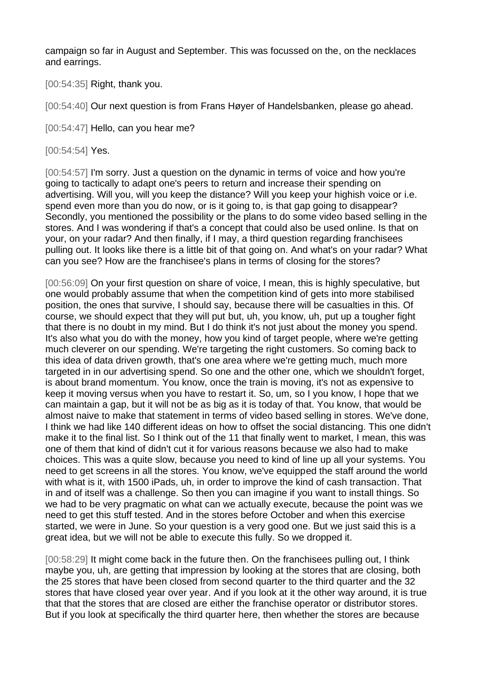campaign so far in August and September. This was focussed on the, on the necklaces and earrings.

[00:54:35] Right, thank you.

[00:54:40] Our next question is from Frans Høyer of Handelsbanken, please go ahead.

[00:54:47] Hello, can you hear me?

[00:54:54] Yes.

[00:54:57] I'm sorry. Just a question on the dynamic in terms of voice and how you're going to tactically to adapt one's peers to return and increase their spending on advertising. Will you, will you keep the distance? Will you keep your highish voice or i.e. spend even more than you do now, or is it going to, is that gap going to disappear? Secondly, you mentioned the possibility or the plans to do some video based selling in the stores. And I was wondering if that's a concept that could also be used online. Is that on your, on your radar? And then finally, if I may, a third question regarding franchisees pulling out. It looks like there is a little bit of that going on. And what's on your radar? What can you see? How are the franchisee's plans in terms of closing for the stores?

[00:56:09] On your first question on share of voice, I mean, this is highly speculative, but one would probably assume that when the competition kind of gets into more stabilised position, the ones that survive, I should say, because there will be casualties in this. Of course, we should expect that they will put but, uh, you know, uh, put up a tougher fight that there is no doubt in my mind. But I do think it's not just about the money you spend. It's also what you do with the money, how you kind of target people, where we're getting much cleverer on our spending. We're targeting the right customers. So coming back to this idea of data driven growth, that's one area where we're getting much, much more targeted in in our advertising spend. So one and the other one, which we shouldn't forget, is about brand momentum. You know, once the train is moving, it's not as expensive to keep it moving versus when you have to restart it. So, um, so I you know, I hope that we can maintain a gap, but it will not be as big as it is today of that. You know, that would be almost naive to make that statement in terms of video based selling in stores. We've done, I think we had like 140 different ideas on how to offset the social distancing. This one didn't make it to the final list. So I think out of the 11 that finally went to market, I mean, this was one of them that kind of didn't cut it for various reasons because we also had to make choices. This was a quite slow, because you need to kind of line up all your systems. You need to get screens in all the stores. You know, we've equipped the staff around the world with what is it, with 1500 iPads, uh, in order to improve the kind of cash transaction. That in and of itself was a challenge. So then you can imagine if you want to install things. So we had to be very pragmatic on what can we actually execute, because the point was we need to get this stuff tested. And in the stores before October and when this exercise started, we were in June. So your question is a very good one. But we just said this is a great idea, but we will not be able to execute this fully. So we dropped it.

[00:58:29] It might come back in the future then. On the franchisees pulling out, I think maybe you, uh, are getting that impression by looking at the stores that are closing, both the 25 stores that have been closed from second quarter to the third quarter and the 32 stores that have closed year over year. And if you look at it the other way around, it is true that that the stores that are closed are either the franchise operator or distributor stores. But if you look at specifically the third quarter here, then whether the stores are because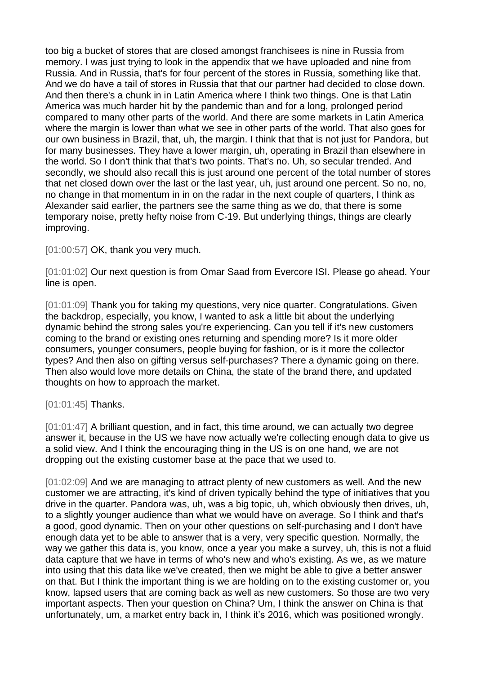too big a bucket of stores that are closed amongst franchisees is nine in Russia from memory. I was just trying to look in the appendix that we have uploaded and nine from Russia. And in Russia, that's for four percent of the stores in Russia, something like that. And we do have a tail of stores in Russia that that our partner had decided to close down. And then there's a chunk in in Latin America where I think two things. One is that Latin America was much harder hit by the pandemic than and for a long, prolonged period compared to many other parts of the world. And there are some markets in Latin America where the margin is lower than what we see in other parts of the world. That also goes for our own business in Brazil, that, uh, the margin. I think that that is not just for Pandora, but for many businesses. They have a lower margin, uh, operating in Brazil than elsewhere in the world. So I don't think that that's two points. That's no. Uh, so secular trended. And secondly, we should also recall this is just around one percent of the total number of stores that net closed down over the last or the last year, uh, just around one percent. So no, no, no change in that momentum in in on the radar in the next couple of quarters, I think as Alexander said earlier, the partners see the same thing as we do, that there is some temporary noise, pretty hefty noise from C-19. But underlying things, things are clearly improving.

[01:00:57] OK, thank you very much.

[01:01:02] Our next question is from Omar Saad from Evercore ISI. Please go ahead. Your line is open.

[01:01:09] Thank you for taking my questions, very nice quarter. Congratulations. Given the backdrop, especially, you know, I wanted to ask a little bit about the underlying dynamic behind the strong sales you're experiencing. Can you tell if it's new customers coming to the brand or existing ones returning and spending more? Is it more older consumers, younger consumers, people buying for fashion, or is it more the collector types? And then also on gifting versus self-purchases? There a dynamic going on there. Then also would love more details on China, the state of the brand there, and updated thoughts on how to approach the market.

## [01:01:45] Thanks.

[01:01:47] A brilliant question, and in fact, this time around, we can actually two degree answer it, because in the US we have now actually we're collecting enough data to give us a solid view. And I think the encouraging thing in the US is on one hand, we are not dropping out the existing customer base at the pace that we used to.

[01:02:09] And we are managing to attract plenty of new customers as well. And the new customer we are attracting, it's kind of driven typically behind the type of initiatives that you drive in the quarter. Pandora was, uh, was a big topic, uh, which obviously then drives, uh, to a slightly younger audience than what we would have on average. So I think and that's a good, good dynamic. Then on your other questions on self-purchasing and I don't have enough data yet to be able to answer that is a very, very specific question. Normally, the way we gather this data is, you know, once a year you make a survey, uh, this is not a fluid data capture that we have in terms of who's new and who's existing. As we, as we mature into using that this data like we've created, then we might be able to give a better answer on that. But I think the important thing is we are holding on to the existing customer or, you know, lapsed users that are coming back as well as new customers. So those are two very important aspects. Then your question on China? Um, I think the answer on China is that unfortunately, um, a market entry back in, I think it's 2016, which was positioned wrongly.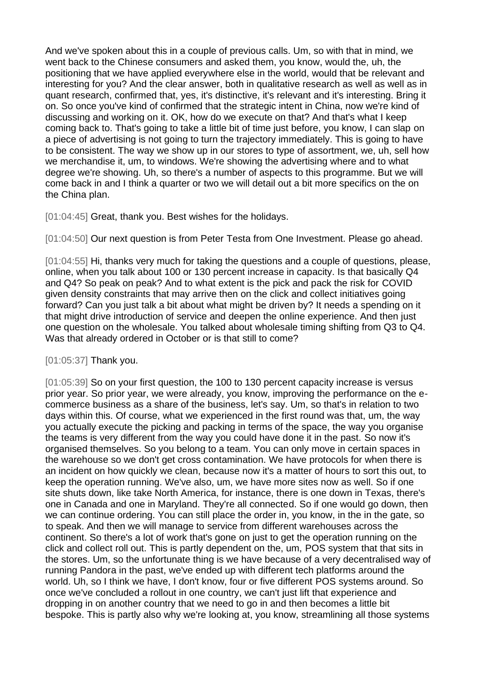And we've spoken about this in a couple of previous calls. Um, so with that in mind, we went back to the Chinese consumers and asked them, you know, would the, uh, the positioning that we have applied everywhere else in the world, would that be relevant and interesting for you? And the clear answer, both in qualitative research as well as well as in quant research, confirmed that, yes, it's distinctive, it's relevant and it's interesting. Bring it on. So once you've kind of confirmed that the strategic intent in China, now we're kind of discussing and working on it. OK, how do we execute on that? And that's what I keep coming back to. That's going to take a little bit of time just before, you know, I can slap on a piece of advertising is not going to turn the trajectory immediately. This is going to have to be consistent. The way we show up in our stores to type of assortment, we, uh, sell how we merchandise it, um, to windows. We're showing the advertising where and to what degree we're showing. Uh, so there's a number of aspects to this programme. But we will come back in and I think a quarter or two we will detail out a bit more specifics on the on the China plan.

[01:04:45] Great, thank you. Best wishes for the holidays.

[01:04:50] Our next question is from Peter Testa from One Investment. Please go ahead.

[01:04:55] Hi, thanks very much for taking the questions and a couple of questions, please, online, when you talk about 100 or 130 percent increase in capacity. Is that basically Q4 and Q4? So peak on peak? And to what extent is the pick and pack the risk for COVID given density constraints that may arrive then on the click and collect initiatives going forward? Can you just talk a bit about what might be driven by? It needs a spending on it that might drive introduction of service and deepen the online experience. And then just one question on the wholesale. You talked about wholesale timing shifting from Q3 to Q4. Was that already ordered in October or is that still to come?

[01:05:37] Thank you.

[01:05:39] So on your first question, the 100 to 130 percent capacity increase is versus prior year. So prior year, we were already, you know, improving the performance on the ecommerce business as a share of the business, let's say. Um, so that's in relation to two days within this. Of course, what we experienced in the first round was that, um, the way you actually execute the picking and packing in terms of the space, the way you organise the teams is very different from the way you could have done it in the past. So now it's organised themselves. So you belong to a team. You can only move in certain spaces in the warehouse so we don't get cross contamination. We have protocols for when there is an incident on how quickly we clean, because now it's a matter of hours to sort this out, to keep the operation running. We've also, um, we have more sites now as well. So if one site shuts down, like take North America, for instance, there is one down in Texas, there's one in Canada and one in Maryland. They're all connected. So if one would go down, then we can continue ordering. You can still place the order in, you know, in the in the gate, so to speak. And then we will manage to service from different warehouses across the continent. So there's a lot of work that's gone on just to get the operation running on the click and collect roll out. This is partly dependent on the, um, POS system that that sits in the stores. Um, so the unfortunate thing is we have because of a very decentralised way of running Pandora in the past, we've ended up with different tech platforms around the world. Uh, so I think we have, I don't know, four or five different POS systems around. So once we've concluded a rollout in one country, we can't just lift that experience and dropping in on another country that we need to go in and then becomes a little bit bespoke. This is partly also why we're looking at, you know, streamlining all those systems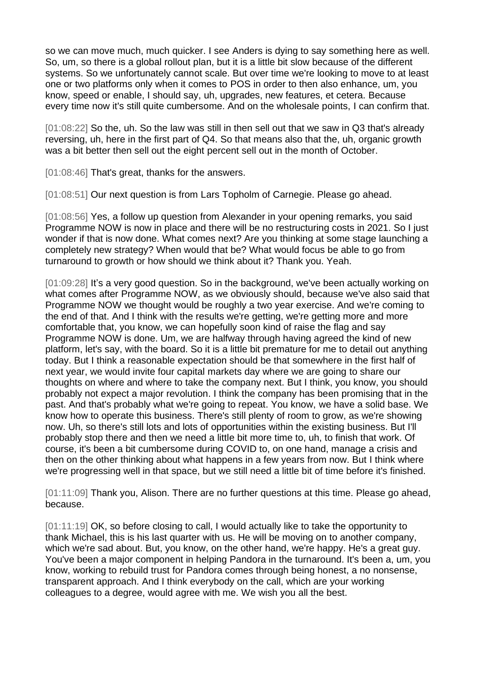so we can move much, much quicker. I see Anders is dying to say something here as well. So, um, so there is a global rollout plan, but it is a little bit slow because of the different systems. So we unfortunately cannot scale. But over time we're looking to move to at least one or two platforms only when it comes to POS in order to then also enhance, um, you know, speed or enable, I should say, uh, upgrades, new features, et cetera. Because every time now it's still quite cumbersome. And on the wholesale points, I can confirm that.

[01:08:22] So the, uh. So the law was still in then sell out that we saw in Q3 that's already reversing, uh, here in the first part of Q4. So that means also that the, uh, organic growth was a bit better then sell out the eight percent sell out in the month of October.

[01:08:46] That's great, thanks for the answers.

[01:08:51] Our next question is from Lars Topholm of Carnegie. Please go ahead.

[01:08:56] Yes, a follow up question from Alexander in your opening remarks, you said Programme NOW is now in place and there will be no restructuring costs in 2021. So I just wonder if that is now done. What comes next? Are you thinking at some stage launching a completely new strategy? When would that be? What would focus be able to go from turnaround to growth or how should we think about it? Thank you. Yeah.

[01:09:28] It's a very good question. So in the background, we've been actually working on what comes after Programme NOW, as we obviously should, because we've also said that Programme NOW we thought would be roughly a two year exercise. And we're coming to the end of that. And I think with the results we're getting, we're getting more and more comfortable that, you know, we can hopefully soon kind of raise the flag and say Programme NOW is done. Um, we are halfway through having agreed the kind of new platform, let's say, with the board. So it is a little bit premature for me to detail out anything today. But I think a reasonable expectation should be that somewhere in the first half of next year, we would invite four capital markets day where we are going to share our thoughts on where and where to take the company next. But I think, you know, you should probably not expect a major revolution. I think the company has been promising that in the past. And that's probably what we're going to repeat. You know, we have a solid base. We know how to operate this business. There's still plenty of room to grow, as we're showing now. Uh, so there's still lots and lots of opportunities within the existing business. But I'll probably stop there and then we need a little bit more time to, uh, to finish that work. Of course, it's been a bit cumbersome during COVID to, on one hand, manage a crisis and then on the other thinking about what happens in a few years from now. But I think where we're progressing well in that space, but we still need a little bit of time before it's finished.

[01:11:09] Thank you, Alison. There are no further questions at this time. Please go ahead, because.

[01:11:19] OK, so before closing to call, I would actually like to take the opportunity to thank Michael, this is his last quarter with us. He will be moving on to another company, which we're sad about. But, you know, on the other hand, we're happy. He's a great guy. You've been a major component in helping Pandora in the turnaround. It's been a, um, you know, working to rebuild trust for Pandora comes through being honest, a no nonsense, transparent approach. And I think everybody on the call, which are your working colleagues to a degree, would agree with me. We wish you all the best.